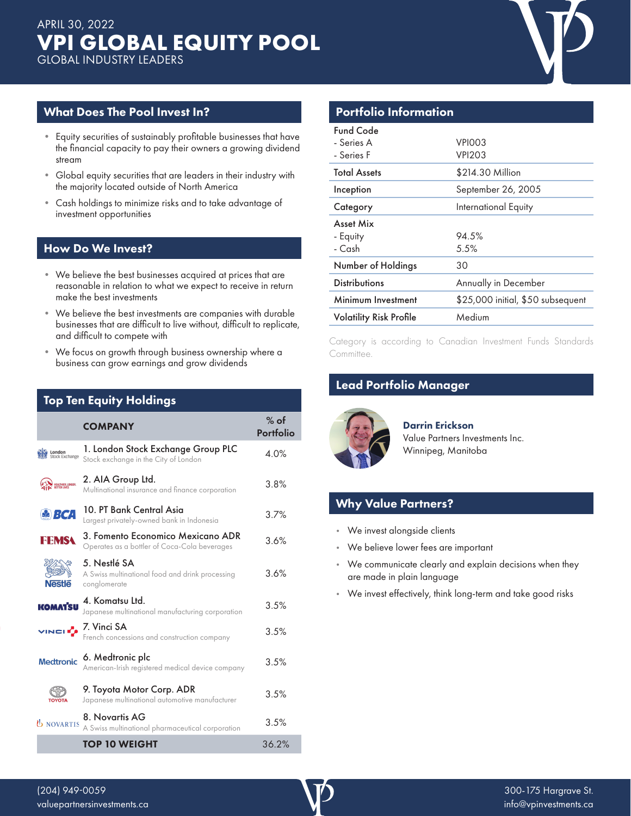

# What Does The Pool Invest In?

- Equity securities of sustainably profitable businesses that have the financial capacity to pay their owners a growing dividend stream
- Global equity securities that are leaders in their industry with the majority located outside of North America
- Cash holdings to minimize risks and to take advantage of investment opportunities

# How Do We Invest?

- We believe the best businesses acquired at prices that are reasonable in relation to what we expect to receive in return make the best investments
- We believe the best investments are companies with durable businesses that are difficult to live without, difficult to replicate, and difficult to compete with
- We focus on growth through business ownership where a business can grow earnings and grow dividends

# Top Ten Equity Holdings

|                                    | <b>COMPANY</b>                                                                    | $%$ of<br>Portfolio |
|------------------------------------|-----------------------------------------------------------------------------------|---------------------|
| London<br>Stock Exchange           | 1. London Stock Exchange Group PLC<br>Stock exchange in the City of London        | 4.0%                |
| HEALTHIER, LONGER,<br>Better lives | 2. AIA Group Ltd.<br>Multinational insurance and finance corporation              | 3.8%                |
| <b>SE BCA</b>                      | 10. PT Bank Central Asia<br>Largest privately-owned bank in Indonesia             | 3.7%                |
| <b>FEMSA</b>                       | 3. Fomento Economico Mexicano ADR<br>Operates as a bottler of Coca-Cola beverages | 3.6%                |
| <b>Nestle</b>                      | 5. Nestlé SA<br>A Swiss multinational food and drink processing<br>conglomerate   | 3.6%                |
| <b>KOMATSU</b>                     | 4. Komatsu Ltd.<br>Japanese multinational manufacturing corporation               | 3.5%                |
| VINCLE                             | 7. Vinci SA<br>French concessions and construction company                        | 3.5%                |
| <b>Medtronic</b>                   | 6. Medtronic plc<br>American-Irish registered medical device company              | 3.5%                |
|                                    | 9. Toyota Motor Corp. ADR<br>Japanese multinational automotive manufacturer       | 3.5%                |
| <b><i>b</i></b> NOVARTIS           | 8. Novartis AG<br>A Swiss multinational pharmaceutical corporation                | 3.5%                |
|                                    | <b>TOP 10 WEIGHT</b>                                                              | 36.2%               |

## Portfolio Information

| <b>Total Assets</b><br>\$214.30 Million<br>September 26, 2005<br>Inception<br>International Equity<br>Category<br>Asset Mix<br>94.5%<br>- Equity<br>- Cash<br>5.5% | <b>Fund Code</b><br>- Series A<br>- Series F | VPIOO3<br>VPI203 |
|--------------------------------------------------------------------------------------------------------------------------------------------------------------------|----------------------------------------------|------------------|
|                                                                                                                                                                    |                                              |                  |
|                                                                                                                                                                    |                                              |                  |
|                                                                                                                                                                    |                                              |                  |
|                                                                                                                                                                    |                                              |                  |
| Number of Holdings<br>30                                                                                                                                           |                                              |                  |
| <b>Distributions</b><br>Annually in December                                                                                                                       |                                              |                  |
| \$25,000 initial, \$50 subsequent<br>Minimum Investment                                                                                                            |                                              |                  |
| Medium<br><b>Volatility Risk Profile</b>                                                                                                                           |                                              |                  |

Category is according to Canadian Investment Funds Standards Committee.

# Lead Portfolio Manager



Darrin Erickson Value Partners Investments Inc. Winnipeg, Manitoba

# Why Value Partners?

- We invest alongside clients
- We believe lower fees are important
- We communicate clearly and explain decisions when they are made in plain language
- We invest effectively, think long-term and take good risks